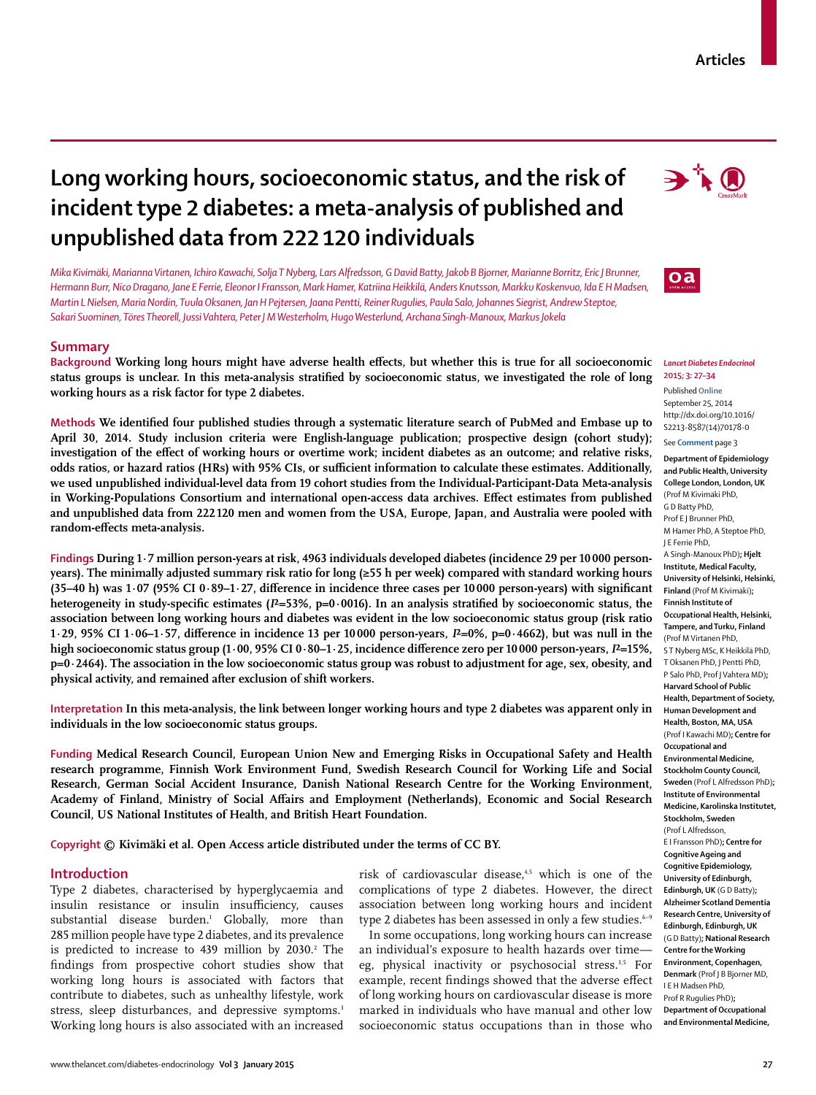# **Long working hours, socioeconomic status, and the risk of incident type 2 diabetes: a meta-analysis of published and unpublished data from 222 120 individuals**

*Mika Kivimäki, Marianna Virtanen, Ichiro Kawachi, Solja T Nyberg, Lars Alfredsson, G David Batty, Jakob B Bjorner, Marianne Borritz, Eric J Brunner, Hermann Burr, Nico Dragano, Jane E Ferrie, Eleonor I Fransson, Mark Hamer, Katriina Heikkilä, Anders Knutsson, Markku Koskenvuo, Ida E H Madsen, Martin L Nielsen, Maria Nordin, Tuula Oksanen, Jan H Pejtersen, Jaana Pentti, Reiner Rugulies, Paula Salo, Johannes Siegrist, Andrew Steptoe, Sakari Suominen, Töres Theorell, Jussi Vahtera, Peter J M Westerholm, Hugo Westerlund, Archana Singh-Manoux, Markus Jokela*

# **Summary**

Background Working long hours might have adverse health effects, but whether this is true for all socioeconomic status groups is unclear. In this meta-analysis stratified by socioeconomic status, we investigated the role of long **working hours as a risk factor for type 2 diabetes.**

Methods We identified four published studies through a systematic literature search of PubMed and Embase up to **April 30, 2014. Study inclusion criteria were English-language publication; prospective design (cohort study);**  investigation of the effect of working hours or overtime work; incident diabetes as an outcome; and relative risks, odds ratios, or hazard ratios (HRs) with 95% CIs, or sufficient information to calculate these estimates. Additionally, **we used unpublished individual-level data from 19 cohort studies from the Individual-Participant-Data Meta-analysis**  in Working-Populations Consortium and international open-access data archives. Effect estimates from published **and unpublished data from 222 120 men and women from the USA, Europe, Japan, and Australia were pooled with**  random-effects meta-analysis.

**Findings During 1·7 million person-years at risk, 4963 individuals developed diabetes (incidence 29 per 10 000 personyears). The minimally adjusted summary risk ratio for long (≥55 h per week) compared with standard working hours**   $(35-40 \text{ h})$  was  $1.07$   $(95\%$  CI  $0.89-1.27$ , difference in incidence three cases per  $10\,000$  person-years) with significant heterogeneity in study-specific estimates ( $I<sup>2</sup>=53%$ , p=0·0016). In an analysis stratified by socioeconomic status, the **association between long working hours and diabetes was evident in the low socioeconomic status group (risk ratio 1·29, 95% CI 1·06–1·57, diff erence in incidence 13 per 10 000 person-years,** *I***²=0%, p=0·4662), but was null in the**  high socioeconomic status group  $(1 \cdot 00, 95\% \text{ CI } 0 \cdot 80 - 1 \cdot 25)$ , incidence difference zero per 10 000 person-years,  $P=15\%$ , **p=0·2464). The association in the low socioeconomic status group was robust to adjustment for age, sex, obesity, and physical activity, and remained after exclusion of shift workers.**

**Interpretation In this meta-analysis, the link between longer working hours and type 2 diabetes was apparent only in individuals in the low socioeconomic status groups.**

**Funding Medical Research Council, European Union New and Emerging Risks in Occupational Safety and Health research programme, Finnish Work Environment Fund, Swedish Research Council for Working Life and Social Research, German Social Accident Insurance, Danish National Research Centre for the Working Environment,**  Academy of Finland, Ministry of Social Affairs and Employment (Netherlands), Economic and Social Research **Council, US National Institutes of Health, and British Heart Foundation.**

**Copyright © Kivimäki et al. Open Access article distributed under the terms of CC BY.**

# **Introduction**

Type 2 diabetes, characterised by hyperglycaemia and insulin resistance or insulin insufficiency, causes substantial disease burden.1 Globally, more than 285 million people have type 2 diabetes, and its prevalence is predicted to increase to 439 million by 2030.<sup>2</sup> The findings from prospective cohort studies show that working long hours is associated with factors that contribute to diabetes, such as unhealthy lifestyle, work stress, sleep disturbances, and depressive symptoms.<sup>3</sup> Working long hours is also associated with an increased

risk of cardiovascular disease,<sup>4,5</sup> which is one of the complications of type 2 diabetes. However, the direct association between long working hours and incident type 2 diabetes has been assessed in only a few studies.<sup>6-9</sup>

In some occupations, long working hours can increase an individual's exposure to health hazards over time eg, physical inactivity or psychosocial stress.<sup>3,5</sup> For example, recent findings showed that the adverse effect of long working hours on cardiovascular disease is more marked in individuals who have manual and other low socioeconomic status occupations than in those who

*Lancet Diabetes Endocrinol* **2015; 3: 27–34**

Published **Online** September 25, 2014 http://dx.doi.org/10.1016/ S2213-8587(14)70178-0

See **Comment** page 3

**Department of Epidemiology and Public Health, University College London, London, UK** (Prof M Kivimäki PhD, G D Batty PhD, Prof E J Brunner PhD, M Hamer PhD, A Steptoe PhD, J E Ferrie PhD, A Singh-Manoux PhD)**; Hjelt Institute, Medical Faculty, University of Helsinki, Helsinki, Finland** (Prof M Kivimäki)**; Finnish Institute of Occupational Health, Helsinki, Tampere, and Turku, Finland**  (Prof M Virtanen PhD, S T Nyberg MSc, K Heikkilä PhD, T Oksanen PhD, J Pentti PhD, P Salo PhD, Prof J Vahtera MD)**; Harvard School of Public Health, Department of Society, Human Development and Health, Boston, MA, USA** (Prof I Kawachi MD)**; Centre for Occupational and Environmental Medicine, Stockholm County Council, Sweden** (Prof L Alfredsson PhD)**; Institute of Environmental Medicine, Karolinska Institutet, Stockholm, Sweden**  (Prof L Alfredsson, E I Fransson PhD)**; Centre for Cognitive Ageing and Cognitive Epidemiology, University of Edinburgh, Edinburgh, UK** (G D Batty)**; Alzheimer Scotland Dementia Research Centre, University of Edinburgh, Edinburgh, UK**  (G D Batty)**; National Research Centre for the Working Environment, Copenhagen, Denmark** (Prof J B Bjorner MD, I E H Madsen PhD, Prof R Rugulies PhD)**; Department of Occupational and Environmental Medicine,**



# oa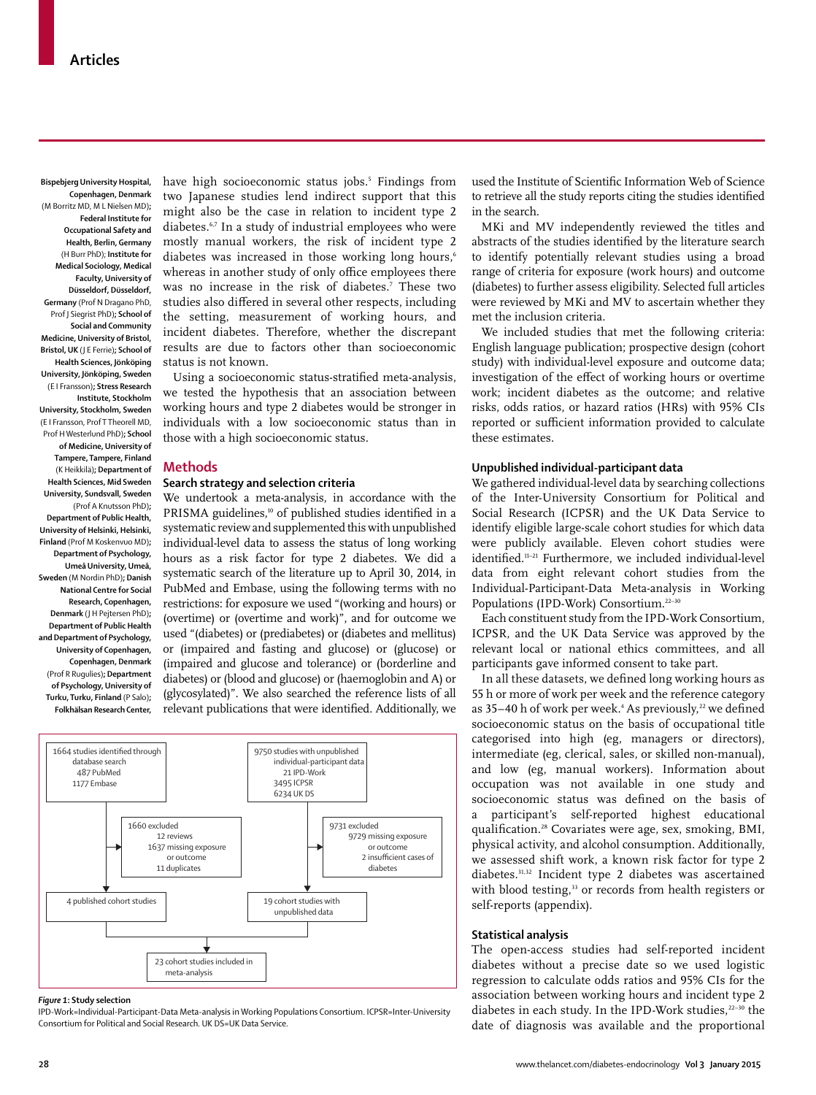**Bispebjerg University Hospital, Copenhagen, Denmark**  (M Borritz MD, M L Nielsen MD)**; Federal Institute for Occupational Safety and Health, Berlin, Germany**  (H Burr PhD); **Institute for Medical Sociology, Medical Faculty, University of Düsseldorf, Düsseldorf, Germany** (Prof N Dragano PhD, Prof J Siegrist PhD)**; School of Social and Community Medicine, University of Bristol, Bristol, UK** (J E Ferrie)**; School of Health Sciences, Jönköping University, Jönköping, Sweden**  (E I Fransson)**; Stress Research Institute, Stockholm University, Stockholm, Sweden**  (E I Fransson, Prof T Theorell MD, Prof H Westerlund PhD)**; School of Medicine, University of Tampere, Tampere, Finland** (K Heikkilä)**; Department of Health Sciences, Mid Sweden University, Sundsvall, Sweden** (Prof A Knutsson PhD)**; Department of Public Health, University of Helsinki, Helsinki, Finland** (Prof M Koskenvuo MD)**; Department of Psychology, Umeå University, Umeå, Sweden** (M Nordin PhD)**; Danish National Centre for Social Research, Copenhagen, Denmark** (J H Pejtersen PhD)**;** 

**Department of Public Health and Department of Psychology, University of Copenhagen, Copenhagen, Denmark**  (Prof R Rugulies)**; Department of Psychology, University of Turku, Turku, Finland** (P Salo)**; Folkhälsan Research Center,**

have high socioeconomic status jobs.5 Findings from two Japanese studies lend indirect support that this might also be the case in relation to incident type 2 diabetes.<sup>6,7</sup> In a study of industrial employees who were mostly manual workers, the risk of incident type 2 diabetes was increased in those working long hours,<sup>6</sup> whereas in another study of only office employees there was no increase in the risk of diabetes.7 These two studies also differed in several other respects, including the setting, measurement of working hours, and incident diabetes. Therefore, whether the discrepant results are due to factors other than socioeconomic status is not known.

Using a socioeconomic status-stratified meta-analysis, we tested the hypothesis that an association between working hours and type 2 diabetes would be stronger in individuals with a low socioeconomic status than in those with a high socioeconomic status.

## **Methods**

## **Search strategy and selection criteria**

We undertook a meta-analysis, in accordance with the PRISMA guidelines,<sup>10</sup> of published studies identified in a systematic review and supplemented this with unpublished individual-level data to assess the status of long working hours as a risk factor for type 2 diabetes. We did a systematic search of the literature up to April 30, 2014, in PubMed and Embase, using the following terms with no restrictions: for exposure we used "(working and hours) or (overtime) or (overtime and work)", and for outcome we used "(diabetes) or (prediabetes) or (diabetes and mellitus) or (impaired and fasting and glucose) or (glucose) or (impaired and glucose and tolerance) or (borderline and diabetes) or (blood and glucose) or (haemoglobin and A) or (glycosylated)". We also searched the reference lists of all relevant publications that were identified. Additionally, we



#### *Figure 1***: Study selection**

IPD-Work=Individual-Participant-Data Meta-analysis in Working Populations Consortium. ICPSR=Inter-University Consortium for Political and Social Research. UK DS=UK Data Service.

used the Institute of Scientific Information Web of Science to retrieve all the study reports citing the studies identified in the search.

MKi and MV independently reviewed the titles and abstracts of the studies identified by the literature search to identify potentially relevant studies using a broad range of criteria for exposure (work hours) and outcome (diabetes) to further assess eligibility. Selected full articles were reviewed by MKi and MV to ascertain whether they met the inclusion criteria.

We included studies that met the following criteria: English language publication; prospective design (cohort study) with individual-level exposure and outcome data; investigation of the effect of working hours or overtime work; incident diabetes as the outcome; and relative risks, odds ratios, or hazard ratios (HRs) with 95% CIs reported or sufficient information provided to calculate these estimates.

# **Unpublished individual-participant data**

We gathered individual-level data by searching collections of the Inter-University Consortium for Political and Social Research (ICPSR) and the UK Data Service to identify eligible large-scale cohort studies for which data were publicly available. Eleven cohort studies were identified.<sup>11-21</sup> Furthermore, we included individual-level data from eight relevant cohort studies from the Individual-Participant-Data Meta-analysis in Working Populations (IPD-Work) Consortium.<sup>22-30</sup>

Each constituent study from the IPD-Work Consortium, ICPSR, and the UK Data Service was approved by the relevant local or national ethics committees, and all participants gave informed consent to take part.

In all these datasets, we defined long working hours as 55 h or more of work per week and the reference category as 35–40 h of work per week.<sup>4</sup> As previously,<sup>22</sup> we defined socioeconomic status on the basis of occupational title categorised into high (eg, managers or directors), intermediate (eg, clerical, sales, or skilled non-manual), and low (eg, manual workers). Information about occupation was not available in one study and socioeconomic status was defined on the basis of a participant's self-reported highest educational qualification.<sup>28</sup> Covariates were age, sex, smoking, BMI, physical activity, and alcohol consumption. Additionally, we assessed shift work, a known risk factor for type 2 diabetes.31,32 Incident type 2 diabetes was ascertained with blood testing,<sup>33</sup> or records from health registers or self-reports (appendix).

### **Statistical analysis**

The open-access studies had self-reported incident diabetes without a precise date so we used logistic regression to calculate odds ratios and 95% CIs for the association between working hours and incident type 2 diabetes in each study. In the IPD-Work studies,<sup>22-30</sup> the date of diagnosis was available and the proportional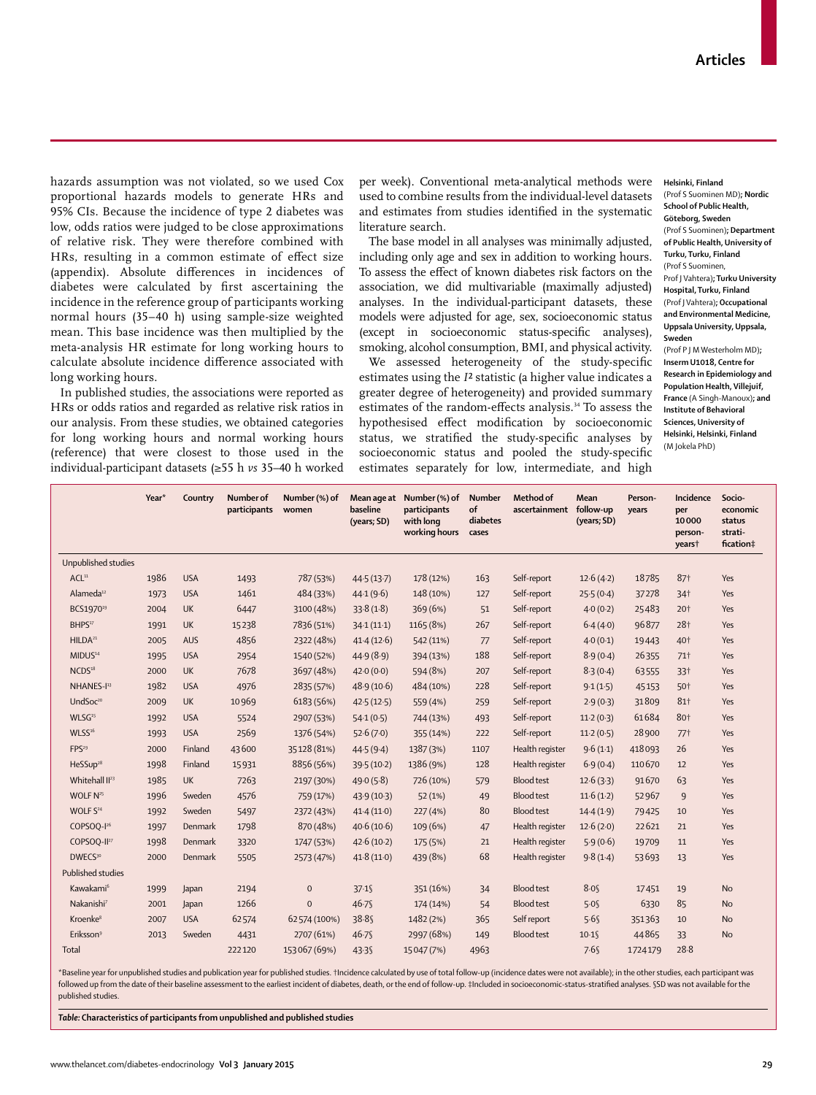hazards assumption was not violated, so we used Cox proportional hazards models to generate HRs and 95% CIs. Because the incidence of type 2 diabetes was low, odds ratios were judged to be close approximations of relative risk. They were therefore combined with HRs, resulting in a common estimate of effect size (appendix). Absolute differences in incidences of diabetes were calculated by first ascertaining the incidence in the reference group of participants working normal hours (35–40 h) using sample-size weighted mean. This base incidence was then multiplied by the meta-analysis HR estimate for long working hours to calculate absolute incidence difference associated with long working hours.

In published studies, the associations were reported as HRs or odds ratios and regarded as relative risk ratios in our analysis. From these studies, we obtained categories for long working hours and normal working hours (reference) that were closest to those used in the individual-participant datasets (≥55 h *vs* 35–40 h worked

per week). Conventional meta-analytical methods were used to combine results from the individual-level datasets and estimates from studies identified in the systematic literature search.

The base model in all analyses was minimally adjusted, including only age and sex in addition to working hours. To assess the effect of known diabetes risk factors on the association, we did multivariable (maximally adjusted) analyses. In the individual-participant datasets, these models were adjusted for age, sex, socioeconomic status (except in socioeconomic status-specific analyses), smoking, alcohol consumption, BMI, and physical activity.

We assessed heterogeneity of the study-specific estimates using the *I*² statistic (a higher value indicates a greater degree of heterogeneity) and provided summary estimates of the random-effects analysis.<sup>34</sup> To assess the hypothesised effect modification by socioeconomic status, we stratified the study-specific analyses by socioeconomic status and pooled the study-specific estimates separately for low, intermediate, and high

(Prof S Suominen MD)**; Nordic School of Public Health, Göteborg, Sweden** (Prof S Suominen)**; Department of Public Health, University of Turku, Turku, Finland**  (Prof S Suominen, Prof J Vahtera)**; Turku University Hospital, Turku, Finland**  (Prof J Vahtera)**; Occupational and Environmental Medicine, Uppsala University, Uppsala, Sweden**  (Prof P J M Westerholm MD)**; Inserm U1018, Centre for Research in Epidemiology and** 

**Helsinki, Finland**

**Population Health, Villejuif, France** (A Singh-Manoux)**; and Institute of Behavioral Sciences, University of Helsinki, Helsinki, Finland** (M Jokela PhD)

|                            | Year* | Country    | Number of<br>participants | Number (%) of<br>women | Mean age at<br>baseline<br>(years; SD) | Number (%) of<br>participants<br>with lona<br>working hours | <b>Number</b><br>of<br>diabetes<br>cases | Method of<br>ascertainment | Mean<br>follow-up<br>(years; SD) | Person-<br>years | Incidence<br>per<br>10000<br>person-<br>years† | Socio-<br>economic<br>status<br>strati-<br>fication‡ |
|----------------------------|-------|------------|---------------------------|------------------------|----------------------------------------|-------------------------------------------------------------|------------------------------------------|----------------------------|----------------------------------|------------------|------------------------------------------------|------------------------------------------------------|
| Unpublished studies        |       |            |                           |                        |                                        |                                                             |                                          |                            |                                  |                  |                                                |                                                      |
| ACL <sup>11</sup>          | 1986  | <b>USA</b> | 1493                      | 787 (53%)              | 44.5(13.7)                             | 178 (12%)                                                   | 163                                      | Self-report                | 12.6(4.2)                        | 18785            | 87 <sup>†</sup>                                | Yes                                                  |
| Alameda <sup>12</sup>      | 1973  | <b>USA</b> | 1461                      | 484 (33%)              | 44.1(9.6)                              | 148 (10%)                                                   | 127                                      | Self-report                | 25.5(0.4)                        | 37278            | 34 <sup>†</sup>                                | Yes                                                  |
| BCS1970 <sup>19</sup>      | 2004  | <b>UK</b>  | 6447                      | 3100 (48%)             | 33.8(1.8)                              | 369 (6%)                                                    | 51                                       | Self-report                | 4.0(0.2)                         | 25483            | 20+                                            | Yes                                                  |
| BHPS <sup>17</sup>         | 1991  | <b>UK</b>  | 15238                     | 7836 (51%)             | 34.1(11.1)                             | 1165 (8%)                                                   | 267                                      | Self-report                | 6.4(4.0)                         | 96877            | 28+                                            | Yes                                                  |
| HILDA <sup>21</sup>        | 2005  | <b>AUS</b> | 4856                      | 2322 (48%)             | 41.4(12.6)                             | 542 (11%)                                                   | 77                                       | Self-report                | 4.0(0.1)                         | 19443            | 40 <sup>+</sup>                                | Yes                                                  |
| MIDUS <sup>14</sup>        | 1995  | <b>USA</b> | 2954                      | 1540 (52%)             | 44.9(8.9)                              | 394 (13%)                                                   | 188                                      | Self-report                | 8.9(0.4)                         | 26355            | 71 <sup>†</sup>                                | Yes                                                  |
| NCDS <sup>18</sup>         | 2000  | <b>UK</b>  | 7678                      | 3697 (48%)             | 42.0(0.0)                              | 594 (8%)                                                    | 207                                      | Self-report                | 8.3(0.4)                         | 63555            | 33 <sup>†</sup>                                | Yes                                                  |
| NHANES-I <sup>13</sup>     | 1982  | <b>USA</b> | 4976                      | 2835 (57%)             | 48.9(10.6)                             | 484 (10%)                                                   | 228                                      | Self-report                | 9.1(1.5)                         | 45153            | 50+                                            | Yes                                                  |
| UndSoc <sup>20</sup>       | 2009  | <b>UK</b>  | 10969                     | 6183 (56%)             | 42.5(12.5)                             | 559 (4%)                                                    | 259                                      | Self-report                | 2.9(0.3)                         | 31809            | 81 <sup>†</sup>                                | Yes                                                  |
| WLSG <sup>15</sup>         | 1992  | <b>USA</b> | 5524                      | 2907 (53%)             | 54.1(0.5)                              | 744 (13%)                                                   | 493                                      | Self-report                | 11.2(0.3)                        | 61684            | 80+                                            | Yes                                                  |
| WLSS <sup>16</sup>         | 1993  | <b>USA</b> | 2569                      | 1376 (54%)             | 52.6(7.0)                              | 355 (14%)                                                   | 222                                      | Self-report                | 11.2(0.5)                        | 28900            | 77 <sup>†</sup>                                | Yes                                                  |
| FPS <sup>29</sup>          | 2000  | Finland    | 43600                     | 35128 (81%)            | 44.5(9.4)                              | 1387 (3%)                                                   | 1107                                     | Health register            | 9.6(1.1)                         | 418093           | 26                                             | Yes                                                  |
| HeSSup <sup>28</sup>       | 1998  | Finland    | 15931                     | 8856 (56%)             | 39.5(10.2)                             | 1386 (9%)                                                   | 128                                      | Health register            | 6.9(0.4)                         | 110670           | 12                                             | Yes                                                  |
| Whitehall II <sup>23</sup> | 1985  | <b>UK</b>  | 7263                      | 2197 (30%)             | 49.0(5.8)                              | 726 (10%)                                                   | 579                                      | <b>Blood test</b>          | 12.6(3.3)                        | 91670            | 63                                             | Yes                                                  |
| WOLF N <sup>25</sup>       | 1996  | Sweden     | 4576                      | 759 (17%)              | 43.9(10.3)                             | 52(1%)                                                      | 49                                       | <b>Blood test</b>          | 11.6(1.2)                        | 52967            | 9                                              | Yes                                                  |
| WOLF S <sup>24</sup>       | 1992  | Sweden     | 5497                      | 2372 (43%)             | 41.4(11.0)                             | 227 (4%)                                                    | 80                                       | <b>Blood test</b>          | 14.4(1.9)                        | 79425            | 10                                             | Yes                                                  |
| COPSOO-l <sup>26</sup>     | 1997  | Denmark    | 1798                      | 870 (48%)              | 40.6(10.6)                             | 109 (6%)                                                    | 47                                       | Health register            | 12.6(2.0)                        | 22621            | 21                                             | Yes                                                  |
| COPSOQ-II <sup>27</sup>    | 1998  | Denmark    | 3320                      | 1747 (53%)             | 42.6(10.2)                             | 175 (5%)                                                    | 21                                       | Health register            | 5.9(0.6)                         | 19709            | 11                                             | Yes                                                  |
| DWECS <sup>30</sup>        | 2000  | Denmark    | 5505                      | 2573 (47%)             | 41.8(11.0)                             | 439 (8%)                                                    | 68                                       | Health register            | 9.8(1.4)                         | 53693            | 13                                             | Yes                                                  |
| Published studies          |       |            |                           |                        |                                        |                                                             |                                          |                            |                                  |                  |                                                |                                                      |
| Kawakami <sup>6</sup>      | 1999  | Japan      | 2194                      | $\mathbf 0$            | 37.1                                   | 351 (16%)                                                   | 34                                       | <b>Blood test</b>          | 8.0                              | 17451            | 19                                             | <b>No</b>                                            |
| Nakanishi <sup>7</sup>     | 2001  | Japan      | 1266                      | $\mathbf{0}$           | $46 - 75$                              | 174 (14%)                                                   | 54                                       | <b>Blood test</b>          | 5.0                              | 6330             | 85                                             | <b>No</b>                                            |
| Kroenke <sup>8</sup>       | 2007  | <b>USA</b> | 62574                     | 62574 (100%)           | 38.85                                  | 1482 (2%)                                                   | 365                                      | Self report                | 5.6                              | 351363           | 10                                             | <b>No</b>                                            |
| Eriksson <sup>9</sup>      | 2013  | Sweden     | 4431                      | 2707 (61%)             | 46.75                                  | 2997 (68%)                                                  | 149                                      | <b>Blood test</b>          | 10.1                             | 44865            | 33                                             | <b>No</b>                                            |
| Total                      |       |            | 222120                    | 153067 (69%)           | 43.35                                  | 15047 (7%)                                                  | 4963                                     |                            | 7.6                              | 1724179          | 28.8                                           |                                                      |

\*Baseline year for unpublished studies and publication year for published studies. †Incidence calculated by use of total follow-up (incidence dates were not available); in the other studies, each participant was followed up from the date of their baseline assessment to the earliest incident of diabetes, death, or the end of follow-up. ‡Included in socioeconomic-status-stratified analyses. §SD was not available for the published studies.

 *Table:* **Characteristics of participants from unpublished and published studies**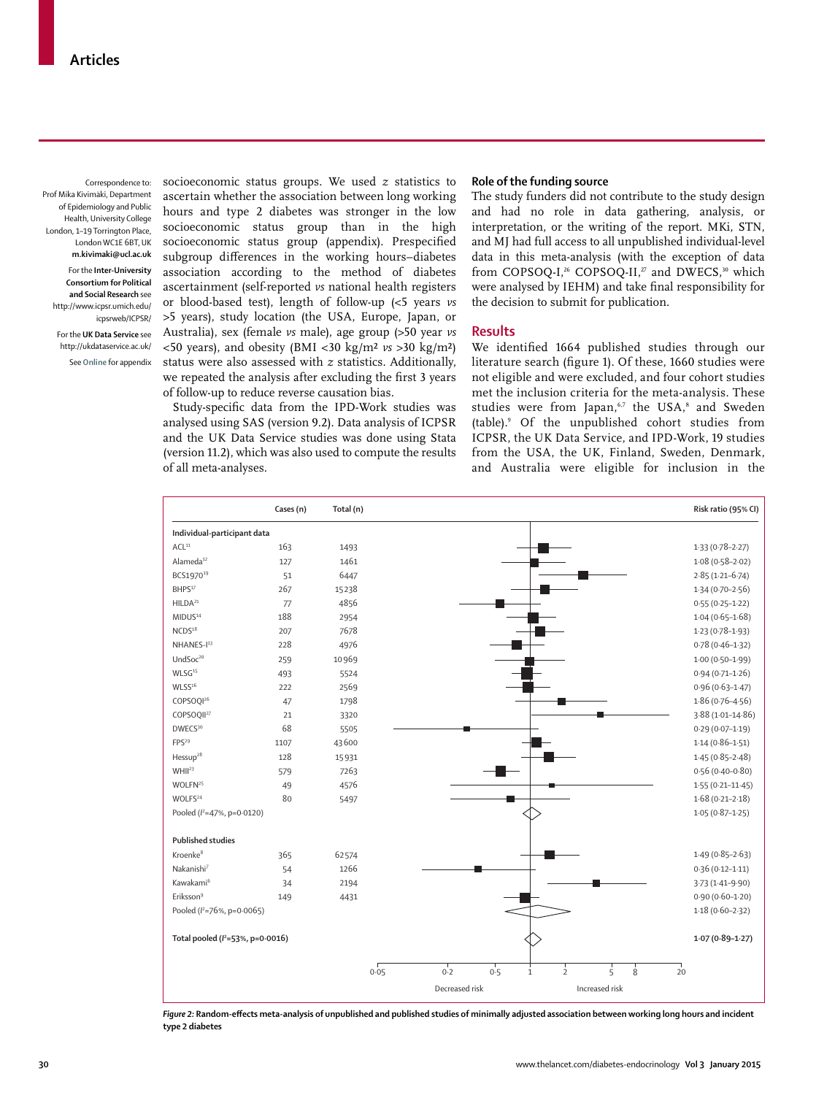Correspondence to: Prof Mika Kivimäki, Department of Epidemiology and Public Health, University College London, 1–19 Torrington Place, London WC1E 6BT, UK **m.kivimaki@ucl.ac.uk** For the **Inter-University Consortium for Political and Social Research** see http://www.icpsr.umich.edu/ icpsrweb/ICPSR/ For the **UK Data Service** see http://ukdataservice.ac.uk/ See **Online** for appendix

socioeconomic status groups. We used *z* statistics to ascertain whether the association between long working hours and type 2 diabetes was stronger in the low socioeconomic status group than in the high socioeconomic status group (appendix). Prespecified subgroup differences in the working hours-diabetes association according to the method of diabetes ascertainment (self-reported *vs* national health registers or blood-based test), length of follow-up (<5 years *vs* >5 years), study location (the USA, Europe, Japan, or Australia), sex (female *vs* male), age group (>50 year *vs*  $<$ 50 years), and obesity (BMI  $<$ 30 kg/m<sup>2</sup> vs >30 kg/m<sup>2</sup>) status were also assessed with *z* statistics. Additionally, we repeated the analysis after excluding the first 3 years of follow-up to reduce reverse causation bias.

Study-specific data from the IPD-Work studies was analysed using SAS (version 9.2). Data analysis of ICPSR and the UK Data Service studies was done using Stata (version 11.2), which was also used to compute the results of all meta-analyses.

### **Role of the funding source**

The study funders did not contribute to the study design and had no role in data gathering, analysis, or interpretation, or the writing of the report. MKi, STN, and MJ had full access to all unpublished individual-level data in this meta-analysis (with the exception of data from COPSOQ-I,<sup>26</sup> COPSOQ-II,<sup>27</sup> and DWECS,<sup>30</sup> which were analysed by IEHM) and take final responsibility for the decision to submit for publication.

## **Results**

We identified 1664 published studies through our literature search (figure 1). Of these, 1660 studies were not eligible and were excluded, and four cohort studies met the inclusion criteria for the meta-analysis. These studies were from Japan,<sup>6,7</sup> the USA,<sup>8</sup> and Sweden (table).9 Of the unpublished cohort studies from ICPSR, the UK Data Service, and IPD-Work, 19 studies from the USA, the UK, Finland, Sweden, Denmark, and Australia were eligible for inclusion in the



*Figure 2:* **Random-eff ects meta-analysis of unpublished and published studies of minimally adjusted association between working long hours and incident type 2 diabetes**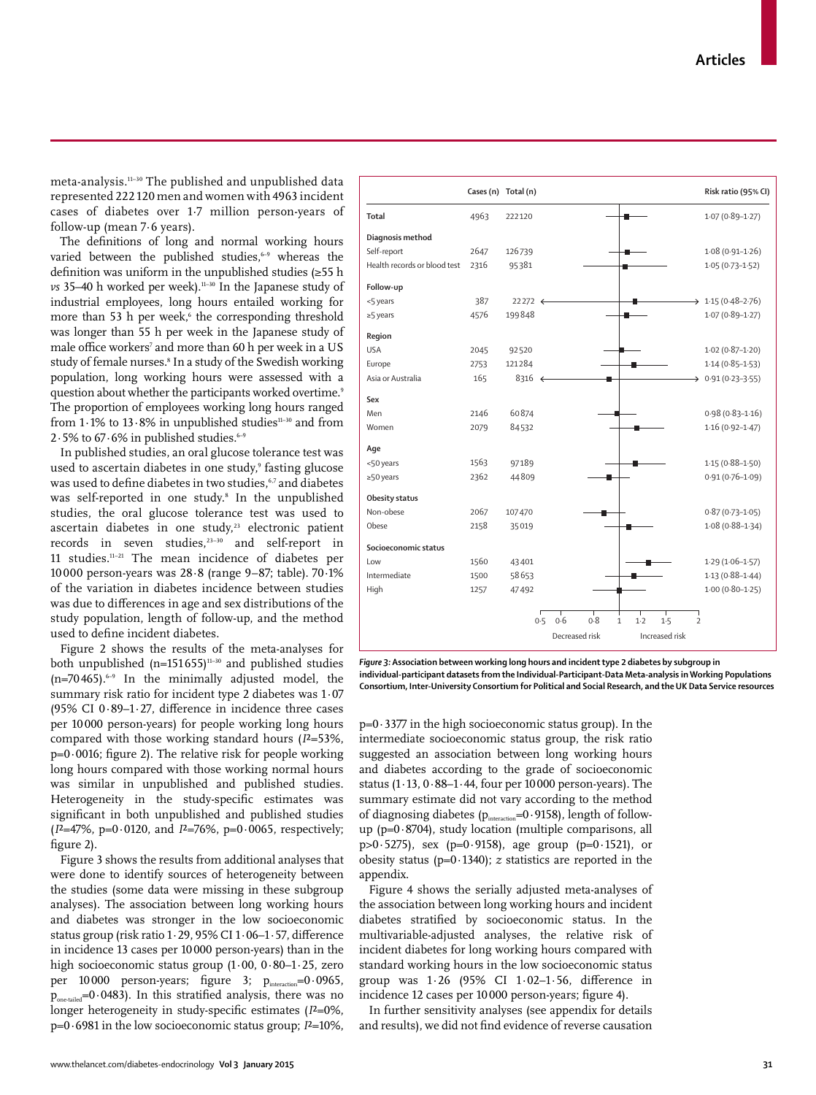1·07 (0·89–1·27)

1·08 (0·91–1·26)

www.thelancet.com/diabetes-endocrinology **Vol 3 January 2015 31**

meta-analysis.11–30 The published and unpublished data represented 222 120 men and women with 4963 incident cases of diabetes over 1·7 million person-years of follow-up (mean 7·6 years).

**Total**

**Diagnosis method** Self-report

4963

222120

126739

2647

The definitions of long and normal working hours varied between the published studies,<sup>6-9</sup> whereas the definition was uniform in the unpublished studies ( $\geq 55$  h vs 35–40 h worked per week).<sup>11-30</sup> In the Japanese study of industrial employees, long hours entailed working for more than 53 h per week, $^{\circ}$  the corresponding threshold was longer than 55 h per week in the Japanese study of male office workers<sup>7</sup> and more than 60 h per week in a US study of female nurses.8 In a study of the Swedish working population, long working hours were assessed with a question about whether the participants worked overtime.<sup>9</sup> The proportion of employees working long hours ranged from  $1.1\%$  to  $13.8\%$  in unpublished studies<sup>11-30</sup> and from 2 $\cdot$ 5% to 67 $\cdot$ 6% in published studies.<sup>6-9</sup>

In published studies, an oral glucose tolerance test was used to ascertain diabetes in one study,<sup>9</sup> fasting glucose was used to define diabetes in two studies,<sup>6,7</sup> and diabetes was self-reported in one study.8 In the unpublished studies, the oral glucose tolerance test was used to ascertain diabetes in one study,<sup>23</sup> electronic patient records in seven studies,<sup>23-30</sup> and self-report in 11 studies.11–21 The mean incidence of diabetes per 10 000 person-years was 28·8 (range 9–87; table). 70·1% of the variation in diabetes incidence between studies was due to differences in age and sex distributions of the study population, length of follow-up, and the method used to define incident diabetes.

Figure 2 shows the results of the meta-analyses for both unpublished (n=151655) $11-30$  and published studies  $(n=70 465)$ .<sup>6–9</sup> In the minimally adjusted model, the summary risk ratio for incident type 2 diabetes was 1·07 (95% CI  $0.89-1.27$ , difference in incidence three cases per 10 000 person-years) for people working long hours compared with those working standard hours (*I*²=53%,  $p=0.0016$ ; figure 2). The relative risk for people working long hours compared with those working normal hours was similar in unpublished and published studies. Heterogeneity in the study-specific estimates was significant in both unpublished and published studies (*I*²=47%, p=0·0120, and *I*²=76%, p=0·0065, respectively; figure 2).

Figure 3 shows the results from additional analyses that were done to identify sources of heterogeneity between the studies (some data were missing in these subgroup analyses). The association between long working hours and diabetes was stronger in the low socioeconomic status group (risk ratio  $1.29$ ,  $95\%$  CI  $1.06-1.57$ , difference in incidence 13 cases per 10 000 person-years) than in the high socioeconomic status group (1·00, 0·80–1·25, zero per  $10000$  person-years; figure 3;  $p_{interaction} = 0.0965$ ,  $p_{one\text{-tailed}} = 0.0483$ ). In this stratified analysis, there was no longer heterogeneity in study-specific estimates ( $I^2=0\%$ , p=0·6981 in the low socioeconomic status group; *I*²=10%,

Health records or blood test **Follow-up** <5 years ≥5 years **Region** USA Europe Asia or Australia **Sex** Men Women **Age** <50 years ≥50 years **Obesity status** Non-obese Obese **Socioeconomic status** Low Intermediate High 2316 387 4576 2045 2753 165 2146 2079 1563 2362 2067 2158 1560 1500 1257 95381 22272 199848 92520 121284 8316 60874 84532 97189 44809 107470 35019 43401 58653 47492 1·05 (0·73–1·52) 1·15 (0·48–2·76) 1·07 (0·89–1·27) 1·02 (0·87–1·20) 1·14 (0·85–1·53) 0·91 (0·23–3·55) 0·98 (0·83–1·16) 1·16 (0·92–1·47) 1·15 (0·88–1·50) 0·91 (0·76–1·09) 0·87 (0·73–1·05) 1·08 (0·88–1·34) 1·29 (1·06–1·57) 1·13 (0·88–1·44) 1·00 (0·80–1·25) 0·5 0·6 0·8 1 1·2 1·5 2 Decreased risk Increased risk

**Cases (n) Total (n) Risk ratio (95% CI)**

*Figure 3:* **Association between working long hours and incident type 2 diabetes by subgroup in individual-participant datasets from the Individual-Participant-Data Meta-analysis in Working Populations Consortium, Inter-University Consortium for Political and Social Research, and the UK Data Service resources**

 $p=0.3377$  in the high socioeconomic status group). In the intermediate socioeconomic status group, the risk ratio suggested an association between long working hours and diabetes according to the grade of socioeconomic status (1 $\cdot$ 13, 0 $\cdot$ 88–1 $\cdot$ 44, four per 10000 person-years). The summary estimate did not vary according to the method of diagnosing diabetes (pinteraction=0.9158), length of followup  $(p=0.8704)$ , study location (multiple comparisons, all  $p>0.5275$ ), sex (p=0.9158), age group (p=0.1521), or obesity status ( $p=0.1340$ ); *z* statistics are reported in the appendix.

Figure 4 shows the serially adjusted meta-analyses of the association between long working hours and incident diabetes stratified by socioeconomic status. In the multivariable-adjusted analyses, the relative risk of incident diabetes for long working hours compared with standard working hours in the low socioeconomic status group was  $1.26$  (95% CI  $1.02-1.56$ , difference in incidence 12 cases per 10 000 person-years; figure 4).

In further sensitivity analyses (see appendix for details and results), we did not find evidence of reverse causation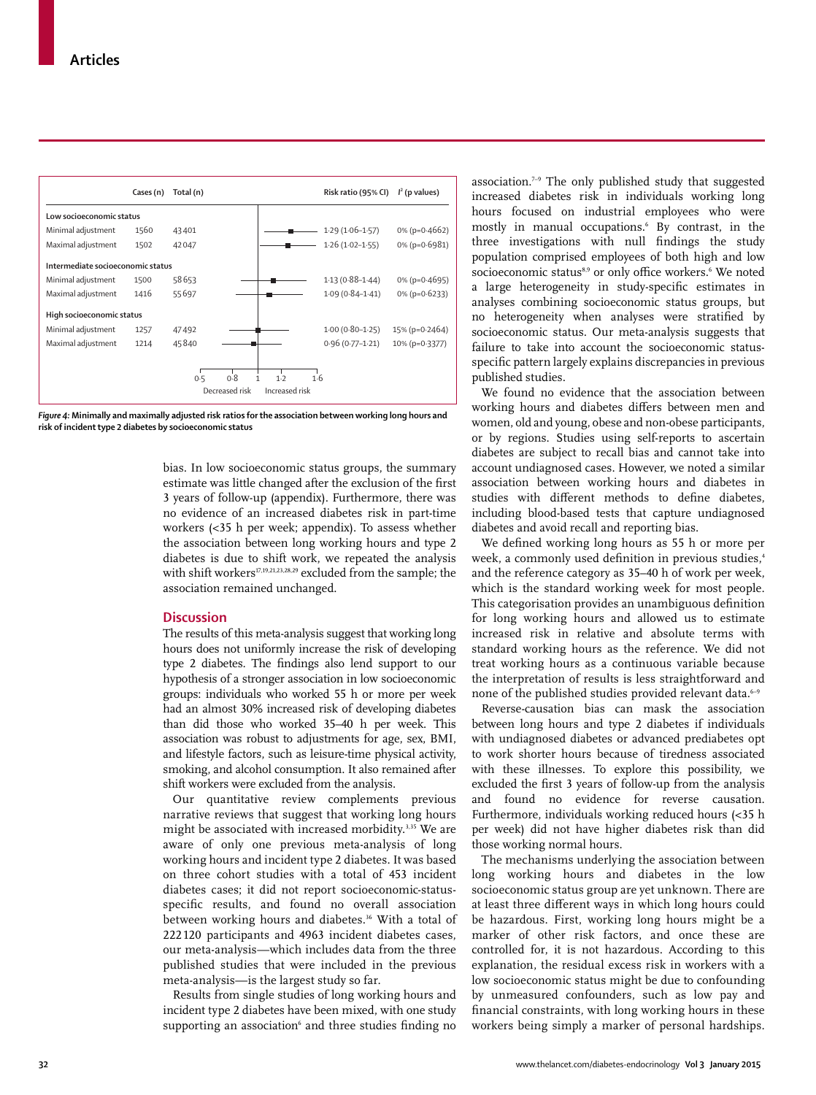

*Figure 4:* **Minimally and maximally adjusted risk ratios for the association between working long hours and risk of incident type 2 diabetes by socioeconomic status** 

bias. In low socioeconomic status groups, the summary estimate was little changed after the exclusion of the first 3 years of follow-up (appendix). Furthermore, there was no evidence of an increased diabetes risk in part-time workers (<35 h per week; appendix). To assess whether the association between long working hours and type 2 diabetes is due to shift work, we repeated the analysis with shift workers<sup>17,19,21,23,28,29</sup> excluded from the sample; the association remained unchanged.

# **Discussion**

The results of this meta-analysis suggest that working long hours does not uniformly increase the risk of developing type 2 diabetes. The findings also lend support to our hypothesis of a stronger association in low socioeconomic groups: individuals who worked 55 h or more per week had an almost 30% increased risk of developing diabetes than did those who worked 35–40 h per week. This association was robust to adjustments for age, sex, BMI, and lifestyle factors, such as leisure-time physical activity, smoking, and alcohol consumption. It also remained after shift workers were excluded from the analysis.

Our quantitative review complements previous narrative reviews that suggest that working long hours might be associated with increased morbidity.<sup>3,35</sup> We are aware of only one previous meta-analysis of long working hours and incident type 2 diabetes. It was based on three cohort studies with a total of 453 incident diabetes cases; it did not report socioeconomic-statusspecific results, and found no overall association between working hours and diabetes.<sup>36</sup> With a total of 222 120 participants and 4963 incident diabetes cases, our meta-analysis—which includes data from the three published studies that were included in the previous meta-analysis—is the largest study so far.

Results from single studies of long working hours and incident type 2 diabetes have been mixed, with one study supporting an association<sup>6</sup> and three studies finding no association.<sup> $7-9$ </sup> The only published study that suggested increased diabetes risk in individuals working long hours focused on industrial employees who were mostly in manual occupations.6 By contrast, in the three investigations with null findings the study population comprised employees of both high and low socioeconomic status<sup>8,9</sup> or only office workers.<sup>6</sup> We noted a large heterogeneity in study-specific estimates in analyses combining socioeconomic status groups, but no heterogeneity when analyses were stratified by socioeconomic status. Our meta-analysis suggests that failure to take into account the socioeconomic statusspecific pattern largely explains discrepancies in previous published studies.

We found no evidence that the association between working hours and diabetes differs between men and women, old and young, obese and non-obese participants, or by regions. Studies using self-reports to ascertain diabetes are subject to recall bias and cannot take into account undiagnosed cases. However, we noted a similar association between working hours and diabetes in studies with different methods to define diabetes, including blood-based tests that capture undiagnosed diabetes and avoid recall and reporting bias.

We defined working long hours as 55 h or more per week, a commonly used definition in previous studies,<sup>4</sup> and the reference category as 35–40 h of work per week, which is the standard working week for most people. This categorisation provides an unambiguous definition for long working hours and allowed us to estimate increased risk in relative and absolute terms with standard working hours as the reference. We did not treat working hours as a continuous variable because the interpretation of results is less straightforward and none of the published studies provided relevant data.<sup>6-9</sup>

Reverse-causation bias can mask the association between long hours and type 2 diabetes if individuals with undiagnosed diabetes or advanced prediabetes opt to work shorter hours because of tiredness associated with these illnesses. To explore this possibility, we excluded the first 3 years of follow-up from the analysis and found no evidence for reverse causation. Furthermore, individuals working reduced hours (<35 h per week) did not have higher diabetes risk than did those working normal hours.

The mechanisms underlying the association between long working hours and diabetes in the low socioeconomic status group are yet unknown. There are at least three different ways in which long hours could be hazardous. First, working long hours might be a marker of other risk factors, and once these are controlled for, it is not hazardous. According to this explanation, the residual excess risk in workers with a low socioeconomic status might be due to confounding by unmeasured confounders, such as low pay and financial constraints, with long working hours in these workers being simply a marker of personal hardships.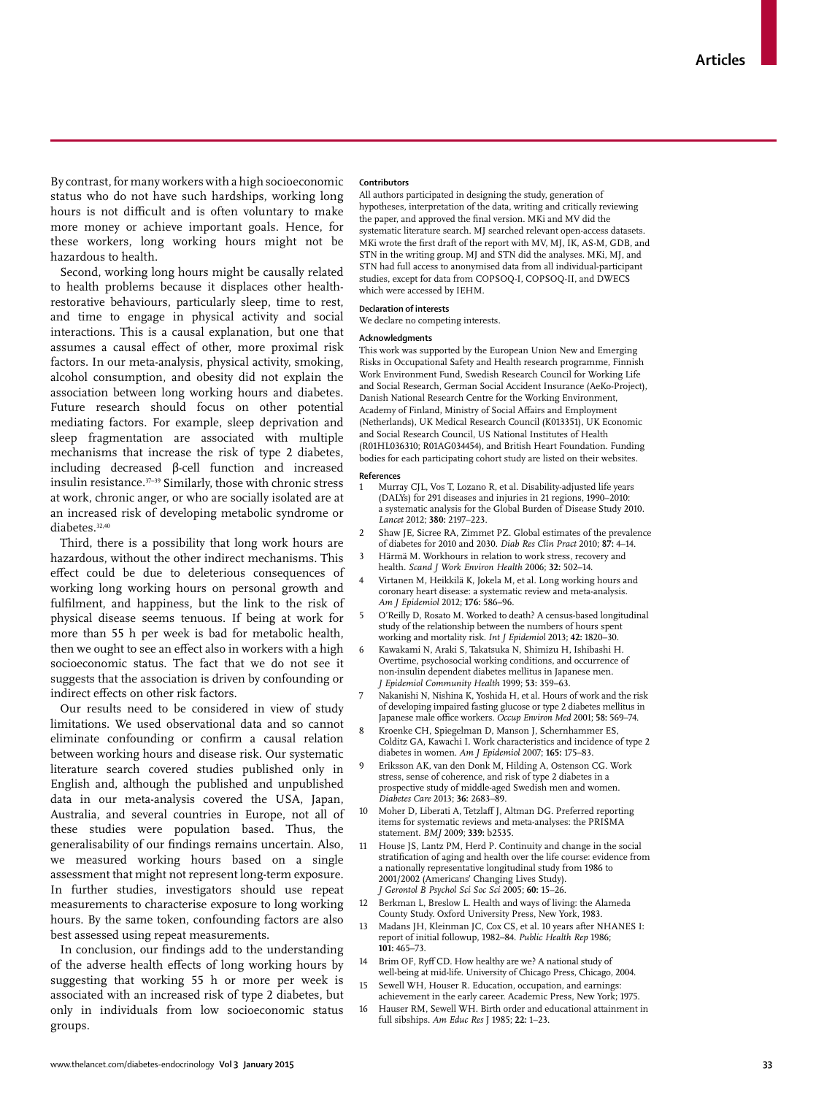By contrast, for many workers with a high socioeconomic status who do not have such hardships, working long hours is not difficult and is often voluntary to make more money or achieve important goals. Hence, for these workers, long working hours might not be hazardous to health.

Second, working long hours might be causally related to health problems because it displaces other healthrestorative behaviours, particularly sleep, time to rest, and time to engage in physical activity and social interactions. This is a causal explanation, but one that assumes a causal effect of other, more proximal risk factors. In our meta-analysis, physical activity, smoking, alcohol consumption, and obesity did not explain the association between long working hours and diabetes. Future research should focus on other potential mediating factors. For example, sleep deprivation and sleep fragmentation are associated with multiple mechanisms that increase the risk of type 2 diabetes, including decreased β-cell function and increased insulin resistance.37–39 Similarly, those with chronic stress at work, chronic anger, or who are socially isolated are at an increased risk of developing metabolic syndrome or diabetes.32,40

Third, there is a possibility that long work hours are hazardous, without the other indirect mechanisms. This effect could be due to deleterious consequences of working long working hours on personal growth and fulfilment, and happiness, but the link to the risk of physical disease seems tenuous. If being at work for more than 55 h per week is bad for metabolic health, then we ought to see an effect also in workers with a high socioeconomic status. The fact that we do not see it suggests that the association is driven by confounding or indirect effects on other risk factors.

Our results need to be considered in view of study limitations. We used observational data and so cannot eliminate confounding or confirm a causal relation between working hours and disease risk. Our systematic literature search covered studies published only in English and, although the published and unpublished data in our meta-analysis covered the USA, Japan, Australia, and several countries in Europe, not all of these studies were population based. Thus, the generalisability of our findings remains uncertain. Also, we measured working hours based on a single assessment that might not represent long-term exposure. In further studies, investigators should use repeat measurements to characterise exposure to long working hours. By the same token, confounding factors are also best assessed using repeat measurements.

In conclusion, our findings add to the understanding of the adverse health effects of long working hours by suggesting that working 55 h or more per week is associated with an increased risk of type 2 diabetes, but only in individuals from low socioeconomic status groups.

#### **Contributors**

All authors participated in designing the study, generation of hypotheses, interpretation of the data, writing and critically reviewing the paper, and approved the final version. MKi and MV did the systematic literature search. MJ searched relevant open-access datasets. MKi wrote the first draft of the report with MV, MJ, IK, AS-M, GDB, and STN in the writing group. MJ and STN did the analyses. MKi, MJ, and STN had full access to anonymised data from all individual-participant studies, except for data from COPSOQ-I, COPSOQ-II, and DWECS which were accessed by IEHM.

#### **Declaration of interests**

We declare no competing interests.

#### **Acknowledgments**

This work was supported by the European Union New and Emerging Risks in Occupational Safety and Health research programme, Finnish Work Environment Fund, Swedish Research Council for Working Life and Social Research, German Social Accident Insurance (AeKo-Project), Danish National Research Centre for the Working Environment, Academy of Finland, Ministry of Social Affairs and Employment (Netherlands), UK Medical Research Council (K013351), UK Economic and Social Research Council, US National Institutes of Health (R01HL036310; R01AG034454), and British Heart Foundation. Funding bodies for each participating cohort study are listed on their websites.

#### **References**

- 1 Murray CJL, Vos T, Lozano R, et al. Disability-adjusted life years (DALYs) for 291 diseases and injuries in 21 regions, 1990–2010: a systematic analysis for the Global Burden of Disease Study 2010. *Lancet* 2012; **380:** 2197–223.
- 2 Shaw JE, Sicree RA, Zimmet PZ. Global estimates of the prevalence of diabetes for 2010 and 2030. *Diab Res Clin Pract* 2010; **87:** 4–14.
- 3 Härmä M. Workhours in relation to work stress, recovery and health. *Scand J Work Environ Health* 2006; **32:** 502–14.
- Virtanen M, Heikkilä K, Jokela M, et al. Long working hours and coronary heart disease: a systematic review and meta-analysis. *Am J Epidemiol* 2012; **176:** 586–96.
- 5 O'Reilly D, Rosato M. Worked to death? A census-based longitudinal study of the relationship between the numbers of hours spent working and mortality risk. *Int J Epidemiol* 2013; **42:** 1820–30.
- 6 Kawakami N, Araki S, Takatsuka N, Shimizu H, Ishibashi H. Overtime, psychosocial working conditions, and occurrence of non-insulin dependent diabetes mellitus in Japanese men. *J Epidemiol Community Health* 1999; **53:** 359–63.
- 7 Nakanishi N, Nishina K, Yoshida H, et al. Hours of work and the risk of developing impaired fasting glucose or type 2 diabetes mellitus in Japanese male office workers. Occup Environ Med 2001; 58: 569-74.
- 8 Kroenke CH, Spiegelman D, Manson J, Schernhammer ES, Colditz GA, Kawachi I. Work characteristics and incidence of type 2 diabetes in women. *Am J Epidemiol* 2007; **165:** 175–83.
- 9 Eriksson AK, van den Donk M, Hilding A, Ostenson CG. Work stress, sense of coherence, and risk of type 2 diabetes in a prospective study of middle-aged Swedish men and women. *Diabetes Care* 2013; **36:** 2683–89.
- 10 Moher D, Liberati A, Tetzlaff J, Altman DG. Preferred reporting items for systematic reviews and meta-analyses: the PRISMA statement. *BMJ* 2009; **339:** b2535.
- 11 House JS, Lantz PM, Herd P. Continuity and change in the social stratification of aging and health over the life course: evidence from a nationally representative longitudinal study from 1986 to 2001/2002 (Americans' Changing Lives Study). *J Gerontol B Psychol Sci Soc Sci* 2005; **60:** 15–26.
- 12 Berkman L, Breslow L. Health and ways of living: the Alameda County Study. Oxford University Press, New York, 1983.
- 13 Madans JH, Kleinman JC, Cox CS, et al. 10 years after NHANES I: report of initial followup, 1982–84. *Public Health Rep* 1986; **101:** 465–73.
- 14 Brim OF, Ryff CD. How healthy are we? A national study of well-being at mid-life. University of Chicago Press, Chicago, 2004. Sewell WH, Houser R. Education, occupation, and earnings:
	- achievement in the early career. Academic Press, New York; 1975.
- 16 Hauser RM, Sewell WH. Birth order and educational attainment in full sibships. *Am Educ Res* J 1985; **22:** 1–23.